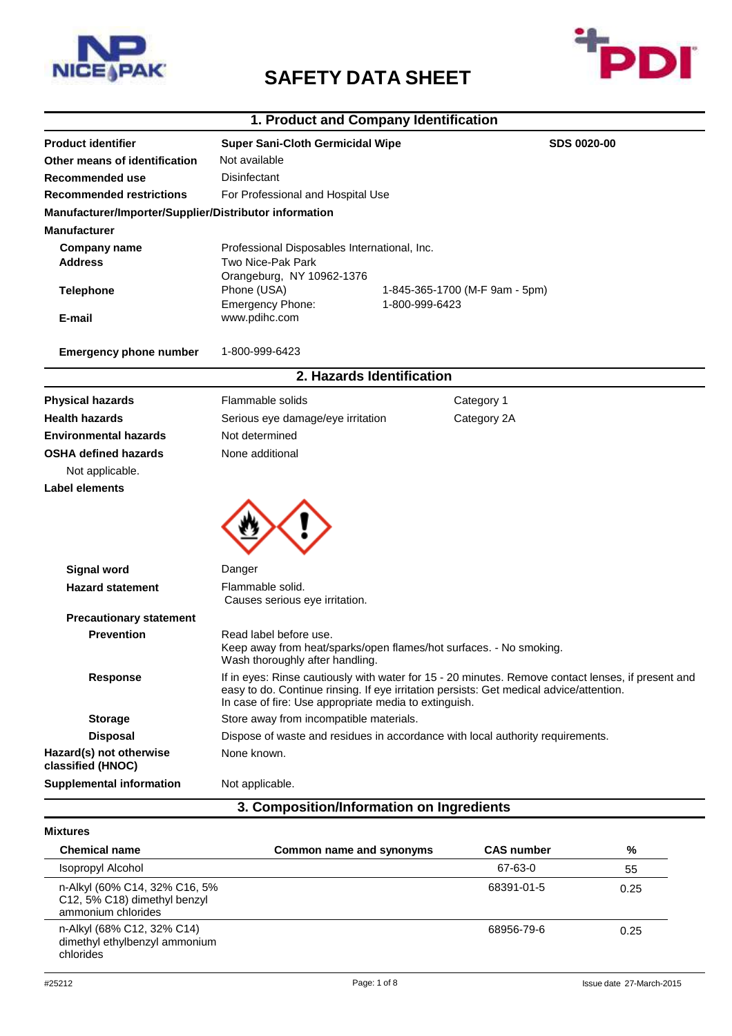

# **SAFETY DATA SHEET**



## **1. Product and Company Identification**

| Other means of identification<br>Recommended use<br><b>Recommended restrictions</b><br>Manufacturer/Importer/Supplier/Distributor information<br><b>Manufacturer</b><br><b>Company name</b><br><b>Address</b><br><b>Telephone</b><br>E-mail | Not available<br>Disinfectant<br>For Professional and Hospital Use<br>Professional Disposables International, Inc.<br>Two Nice-Pak Park<br>Orangeburg, NY 10962-1376                                                                                   |                                                                                |  |
|---------------------------------------------------------------------------------------------------------------------------------------------------------------------------------------------------------------------------------------------|--------------------------------------------------------------------------------------------------------------------------------------------------------------------------------------------------------------------------------------------------------|--------------------------------------------------------------------------------|--|
|                                                                                                                                                                                                                                             |                                                                                                                                                                                                                                                        |                                                                                |  |
|                                                                                                                                                                                                                                             |                                                                                                                                                                                                                                                        |                                                                                |  |
|                                                                                                                                                                                                                                             |                                                                                                                                                                                                                                                        |                                                                                |  |
|                                                                                                                                                                                                                                             |                                                                                                                                                                                                                                                        |                                                                                |  |
|                                                                                                                                                                                                                                             |                                                                                                                                                                                                                                                        |                                                                                |  |
|                                                                                                                                                                                                                                             |                                                                                                                                                                                                                                                        |                                                                                |  |
|                                                                                                                                                                                                                                             | Phone (USA)<br>1-845-365-1700 (M-F 9am - 5pm)<br>Emergency Phone:<br>1-800-999-6423                                                                                                                                                                    |                                                                                |  |
|                                                                                                                                                                                                                                             | www.pdihc.com                                                                                                                                                                                                                                          |                                                                                |  |
| <b>Emergency phone number</b>                                                                                                                                                                                                               | 1-800-999-6423                                                                                                                                                                                                                                         |                                                                                |  |
|                                                                                                                                                                                                                                             | 2. Hazards Identification                                                                                                                                                                                                                              |                                                                                |  |
| <b>Physical hazards</b>                                                                                                                                                                                                                     | Flammable solids                                                                                                                                                                                                                                       | Category 1                                                                     |  |
| <b>Health hazards</b>                                                                                                                                                                                                                       | Serious eye damage/eye irritation                                                                                                                                                                                                                      | Category 2A                                                                    |  |
| <b>Environmental hazards</b>                                                                                                                                                                                                                | Not determined                                                                                                                                                                                                                                         |                                                                                |  |
| <b>OSHA defined hazards</b>                                                                                                                                                                                                                 | None additional                                                                                                                                                                                                                                        |                                                                                |  |
| Not applicable.                                                                                                                                                                                                                             |                                                                                                                                                                                                                                                        |                                                                                |  |
| <b>Label elements</b>                                                                                                                                                                                                                       |                                                                                                                                                                                                                                                        |                                                                                |  |
| <b>Signal word</b>                                                                                                                                                                                                                          | Danger                                                                                                                                                                                                                                                 |                                                                                |  |
| <b>Hazard statement</b>                                                                                                                                                                                                                     | Flammable solid.                                                                                                                                                                                                                                       |                                                                                |  |
|                                                                                                                                                                                                                                             | Causes serious eye irritation.                                                                                                                                                                                                                         |                                                                                |  |
| <b>Precautionary statement</b>                                                                                                                                                                                                              |                                                                                                                                                                                                                                                        |                                                                                |  |
| <b>Prevention</b>                                                                                                                                                                                                                           | Read label before use.<br>Wash thoroughly after handling.                                                                                                                                                                                              | Keep away from heat/sparks/open flames/hot surfaces. - No smoking.             |  |
| <b>Response</b>                                                                                                                                                                                                                             | If in eyes: Rinse cautiously with water for 15 - 20 minutes. Remove contact lenses, if present and<br>easy to do. Continue rinsing. If eye irritation persists: Get medical advice/attention.<br>In case of fire: Use appropriate media to extinguish. |                                                                                |  |
| <b>Storage</b>                                                                                                                                                                                                                              | Store away from incompatible materials.                                                                                                                                                                                                                |                                                                                |  |
| <b>Disposal</b>                                                                                                                                                                                                                             |                                                                                                                                                                                                                                                        | Dispose of waste and residues in accordance with local authority requirements. |  |
| Hazard(s) not otherwise                                                                                                                                                                                                                     | None known.                                                                                                                                                                                                                                            |                                                                                |  |
| classified (HNOC)                                                                                                                                                                                                                           |                                                                                                                                                                                                                                                        |                                                                                |  |

## **Mixtures**

| Common name and synonyms | <b>CAS number</b> | %    |
|--------------------------|-------------------|------|
|                          | 67-63-0           | 55   |
|                          | 68391-01-5        | 0.25 |
|                          | 68956-79-6        | 0.25 |
|                          |                   |      |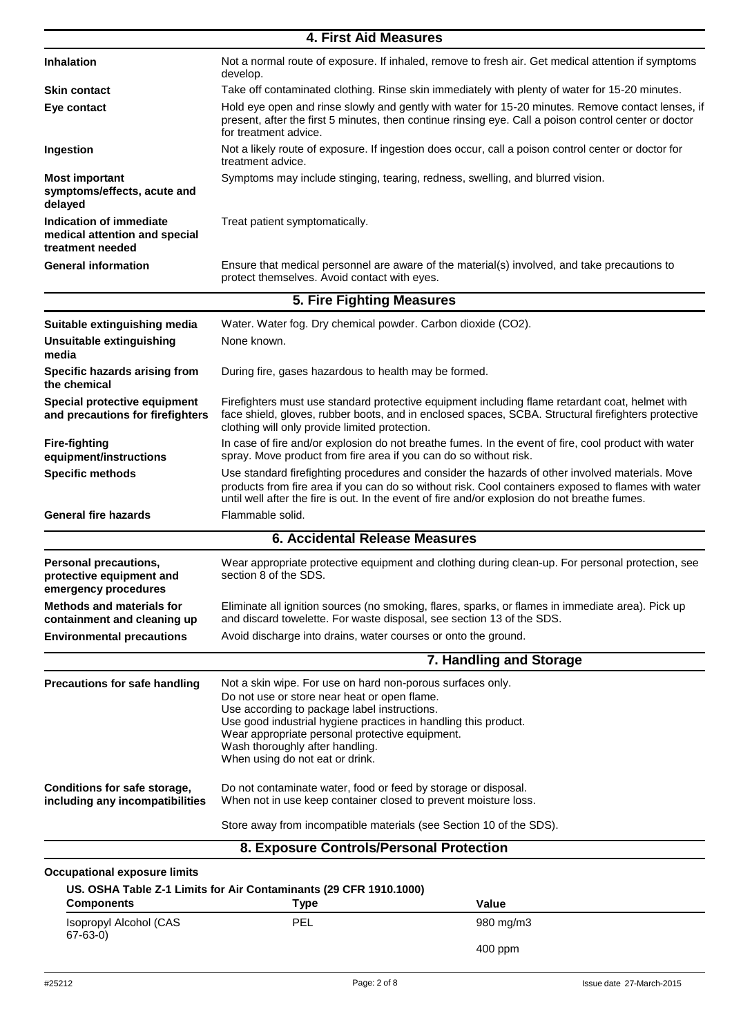|                                                                              | 4. First Aid Measures                                                                                                                                                                                                                                                                                                                                  |  |  |
|------------------------------------------------------------------------------|--------------------------------------------------------------------------------------------------------------------------------------------------------------------------------------------------------------------------------------------------------------------------------------------------------------------------------------------------------|--|--|
| <b>Inhalation</b>                                                            | Not a normal route of exposure. If inhaled, remove to fresh air. Get medical attention if symptoms<br>develop.                                                                                                                                                                                                                                         |  |  |
| <b>Skin contact</b>                                                          | Take off contaminated clothing. Rinse skin immediately with plenty of water for 15-20 minutes.                                                                                                                                                                                                                                                         |  |  |
| Eye contact                                                                  | Hold eye open and rinse slowly and gently with water for 15-20 minutes. Remove contact lenses, if<br>present, after the first 5 minutes, then continue rinsing eye. Call a poison control center or doctor<br>for treatment advice.                                                                                                                    |  |  |
| Ingestion                                                                    | Not a likely route of exposure. If ingestion does occur, call a poison control center or doctor for<br>treatment advice.                                                                                                                                                                                                                               |  |  |
| <b>Most important</b><br>symptoms/effects, acute and<br>delayed              | Symptoms may include stinging, tearing, redness, swelling, and blurred vision.                                                                                                                                                                                                                                                                         |  |  |
| Indication of immediate<br>medical attention and special<br>treatment needed | Treat patient symptomatically.                                                                                                                                                                                                                                                                                                                         |  |  |
| <b>General information</b>                                                   | Ensure that medical personnel are aware of the material(s) involved, and take precautions to<br>protect themselves. Avoid contact with eyes.                                                                                                                                                                                                           |  |  |
|                                                                              | 5. Fire Fighting Measures                                                                                                                                                                                                                                                                                                                              |  |  |
| Suitable extinguishing media                                                 | Water. Water fog. Dry chemical powder. Carbon dioxide (CO2).                                                                                                                                                                                                                                                                                           |  |  |
| Unsuitable extinguishing<br>media                                            | None known.                                                                                                                                                                                                                                                                                                                                            |  |  |
| Specific hazards arising from<br>the chemical                                | During fire, gases hazardous to health may be formed.                                                                                                                                                                                                                                                                                                  |  |  |
| Special protective equipment<br>and precautions for firefighters             | Firefighters must use standard protective equipment including flame retardant coat, helmet with<br>face shield, gloves, rubber boots, and in enclosed spaces, SCBA. Structural firefighters protective<br>clothing will only provide limited protection.                                                                                               |  |  |
| <b>Fire-fighting</b><br>equipment/instructions                               | In case of fire and/or explosion do not breathe fumes. In the event of fire, cool product with water<br>spray. Move product from fire area if you can do so without risk.                                                                                                                                                                              |  |  |
| <b>Specific methods</b>                                                      | Use standard firefighting procedures and consider the hazards of other involved materials. Move<br>products from fire area if you can do so without risk. Cool containers exposed to flames with water<br>until well after the fire is out. In the event of fire and/or explosion do not breathe fumes.                                                |  |  |
| <b>General fire hazards</b>                                                  | Flammable solid.                                                                                                                                                                                                                                                                                                                                       |  |  |
|                                                                              | <b>6. Accidental Release Measures</b>                                                                                                                                                                                                                                                                                                                  |  |  |
| Personal precautions,<br>protective equipment and<br>emergency procedures    | Wear appropriate protective equipment and clothing during clean-up. For personal protection, see<br>section 8 of the SDS.                                                                                                                                                                                                                              |  |  |
| <b>Methods and materials for</b><br>containment and cleaning up              | Eliminate all ignition sources (no smoking, flares, sparks, or flames in immediate area). Pick up<br>and discard towelette. For waste disposal, see section 13 of the SDS.                                                                                                                                                                             |  |  |
| <b>Environmental precautions</b>                                             | Avoid discharge into drains, water courses or onto the ground.                                                                                                                                                                                                                                                                                         |  |  |
|                                                                              | 7. Handling and Storage                                                                                                                                                                                                                                                                                                                                |  |  |
| <b>Precautions for safe handling</b>                                         | Not a skin wipe. For use on hard non-porous surfaces only.<br>Do not use or store near heat or open flame.<br>Use according to package label instructions.<br>Use good industrial hygiene practices in handling this product.<br>Wear appropriate personal protective equipment.<br>Wash thoroughly after handling.<br>When using do not eat or drink. |  |  |
| Conditions for safe storage,<br>including any incompatibilities              | Do not contaminate water, food or feed by storage or disposal.<br>When not in use keep container closed to prevent moisture loss.                                                                                                                                                                                                                      |  |  |
|                                                                              | Store away from incompatible materials (see Section 10 of the SDS).                                                                                                                                                                                                                                                                                    |  |  |
|                                                                              | 8. Exposure Controls/Personal Protection                                                                                                                                                                                                                                                                                                               |  |  |
| <b>Occupational exposure limits</b>                                          |                                                                                                                                                                                                                                                                                                                                                        |  |  |

| <b>Components</b>                       | Type       | Value     |  |
|-----------------------------------------|------------|-----------|--|
| Isopropyl Alcohol (CAS<br>$67 - 63 - 0$ | <b>PEL</b> | 980 mg/m3 |  |
|                                         |            | $400$ ppm |  |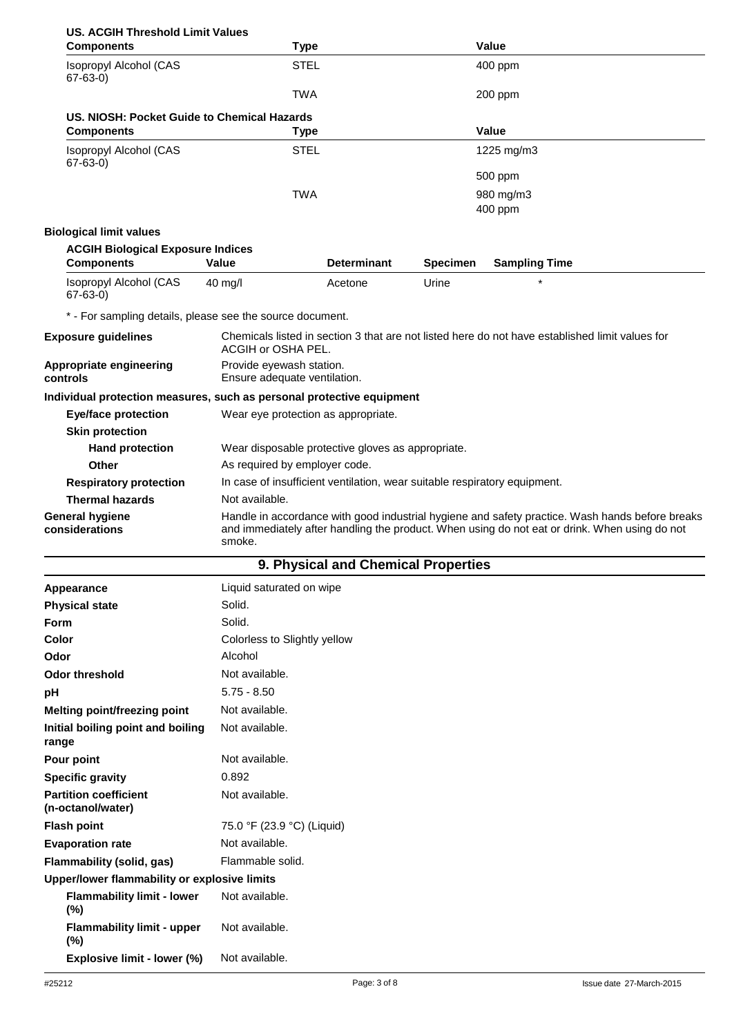| <b>US. ACGIH Threshold Limit Values</b>                               |                              |                                                                           |                 |                                                                                                                                                                                                  |  |
|-----------------------------------------------------------------------|------------------------------|---------------------------------------------------------------------------|-----------------|--------------------------------------------------------------------------------------------------------------------------------------------------------------------------------------------------|--|
| <b>Components</b>                                                     | <b>Type</b>                  |                                                                           |                 | <b>Value</b>                                                                                                                                                                                     |  |
| Isopropyl Alcohol (CAS<br>$67-63-0)$                                  | <b>STEL</b>                  |                                                                           |                 | 400 ppm                                                                                                                                                                                          |  |
|                                                                       | TWA                          |                                                                           |                 | 200 ppm                                                                                                                                                                                          |  |
| US. NIOSH: Pocket Guide to Chemical Hazards                           |                              |                                                                           |                 |                                                                                                                                                                                                  |  |
| <b>Components</b>                                                     | <b>Type</b>                  |                                                                           |                 | <b>Value</b>                                                                                                                                                                                     |  |
| Isopropyl Alcohol (CAS<br>$67 - 63 - 0$                               | <b>STEL</b>                  |                                                                           |                 | 1225 mg/m3                                                                                                                                                                                       |  |
|                                                                       |                              |                                                                           |                 | 500 ppm                                                                                                                                                                                          |  |
|                                                                       | TWA                          |                                                                           |                 | 980 mg/m3                                                                                                                                                                                        |  |
|                                                                       |                              |                                                                           |                 | 400 ppm                                                                                                                                                                                          |  |
| <b>Biological limit values</b>                                        |                              |                                                                           |                 |                                                                                                                                                                                                  |  |
| <b>ACGIH Biological Exposure Indices</b>                              |                              |                                                                           |                 |                                                                                                                                                                                                  |  |
| <b>Components</b>                                                     | <b>Value</b>                 | <b>Determinant</b>                                                        | <b>Specimen</b> | <b>Sampling Time</b>                                                                                                                                                                             |  |
| Isopropyl Alcohol (CAS<br>$67 - 63 - 0$                               | 40 mg/l                      | Acetone                                                                   | Urine           |                                                                                                                                                                                                  |  |
| * - For sampling details, please see the source document.             |                              |                                                                           |                 |                                                                                                                                                                                                  |  |
| <b>Exposure guidelines</b>                                            | ACGIH or OSHA PEL.           |                                                                           |                 | Chemicals listed in section 3 that are not listed here do not have established limit values for                                                                                                  |  |
| Appropriate engineering<br>controls                                   |                              | Provide eyewash station.<br>Ensure adequate ventilation.                  |                 |                                                                                                                                                                                                  |  |
| Individual protection measures, such as personal protective equipment |                              |                                                                           |                 |                                                                                                                                                                                                  |  |
| <b>Eye/face protection</b>                                            |                              | Wear eye protection as appropriate.                                       |                 |                                                                                                                                                                                                  |  |
| <b>Skin protection</b>                                                |                              |                                                                           |                 |                                                                                                                                                                                                  |  |
| <b>Hand protection</b>                                                |                              | Wear disposable protective gloves as appropriate.                         |                 |                                                                                                                                                                                                  |  |
| <b>Other</b>                                                          |                              | As required by employer code.                                             |                 |                                                                                                                                                                                                  |  |
| <b>Respiratory protection</b>                                         |                              | In case of insufficient ventilation, wear suitable respiratory equipment. |                 |                                                                                                                                                                                                  |  |
| <b>Thermal hazards</b>                                                | Not available.               |                                                                           |                 |                                                                                                                                                                                                  |  |
| <b>General hygiene</b><br>considerations                              | smoke.                       |                                                                           |                 | Handle in accordance with good industrial hygiene and safety practice. Wash hands before breaks<br>and immediately after handling the product. When using do not eat or drink. When using do not |  |
|                                                                       |                              | 9. Physical and Chemical Properties                                       |                 |                                                                                                                                                                                                  |  |
| Appearance                                                            | Liquid saturated on wipe     |                                                                           |                 |                                                                                                                                                                                                  |  |
| <b>Physical state</b>                                                 | Solid.                       |                                                                           |                 |                                                                                                                                                                                                  |  |
| Form                                                                  | Solid.                       |                                                                           |                 |                                                                                                                                                                                                  |  |
| Color                                                                 | Colorless to Slightly yellow |                                                                           |                 |                                                                                                                                                                                                  |  |
| Odor                                                                  | Alcohol                      |                                                                           |                 |                                                                                                                                                                                                  |  |
| <b>Odor threshold</b>                                                 | Not available.               |                                                                           |                 |                                                                                                                                                                                                  |  |
| pH                                                                    | $5.75 - 8.50$                |                                                                           |                 |                                                                                                                                                                                                  |  |
| Melting point/freezing point                                          | Not available.               |                                                                           |                 |                                                                                                                                                                                                  |  |

| Appearance                                        | Liquid saturated on wipe     |  |  |  |
|---------------------------------------------------|------------------------------|--|--|--|
| <b>Physical state</b>                             | Solid.                       |  |  |  |
| <b>Form</b>                                       | Solid.                       |  |  |  |
| Color                                             | Colorless to Slightly yellow |  |  |  |
| Odor                                              | Alcohol                      |  |  |  |
| <b>Odor threshold</b>                             | Not available.               |  |  |  |
| рH                                                | $5.75 - 8.50$                |  |  |  |
| <b>Melting point/freezing point</b>               | Not available.               |  |  |  |
| Initial boiling point and boiling<br>range        | Not available.               |  |  |  |
| Pour point                                        | Not available.               |  |  |  |
| <b>Specific gravity</b>                           | 0.892                        |  |  |  |
| <b>Partition coefficient</b><br>(n-octanol/water) | Not available.               |  |  |  |
| <b>Flash point</b>                                | 75.0 °F (23.9 °C) (Liquid)   |  |  |  |
| <b>Evaporation rate</b>                           | Not available.               |  |  |  |
| Flammability (solid, gas)                         | Flammable solid.             |  |  |  |
| Upper/lower flammability or explosive limits      |                              |  |  |  |
| <b>Flammability limit - lower</b><br>(%)          | Not available.               |  |  |  |
| <b>Flammability limit - upper</b><br>(%)          | Not available.               |  |  |  |
| Explosive limit - lower (%)                       | Not available.               |  |  |  |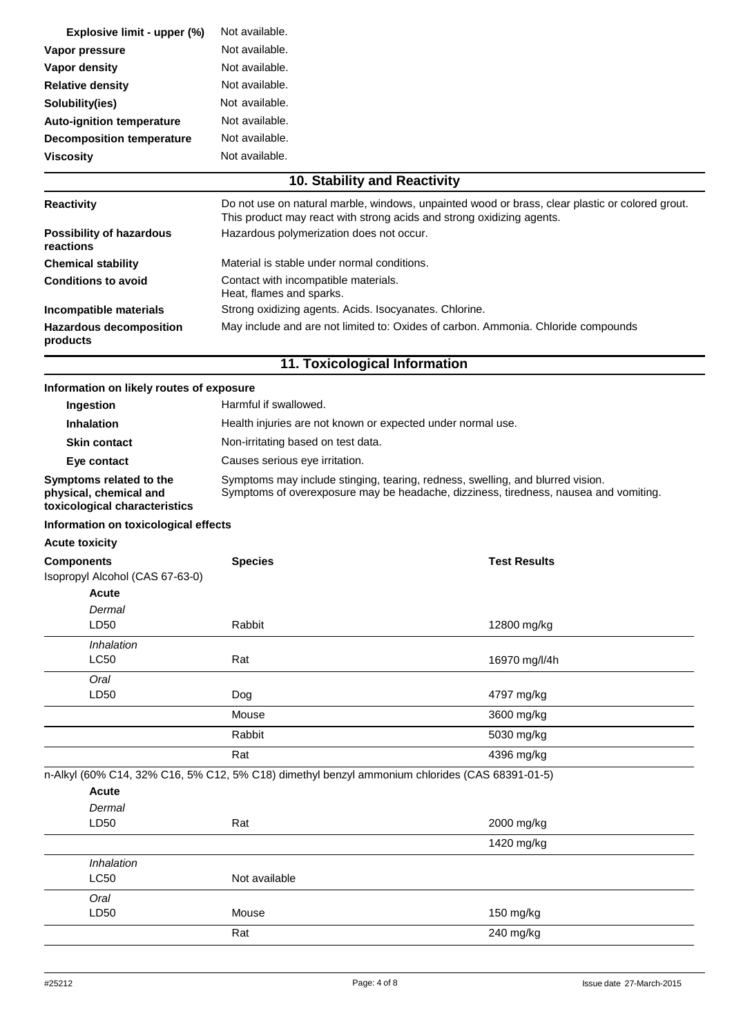| Explosive limit - upper (%)      | Not available. |
|----------------------------------|----------------|
| Vapor pressure                   | Not available. |
| Vapor density                    | Not available. |
| <b>Relative density</b>          | Not available. |
| Solubility(ies)                  | Not available. |
| <b>Auto-ignition temperature</b> | Not available. |
| <b>Decomposition temperature</b> | Not available. |
| <b>Viscosity</b>                 | Not available. |

## **10. Stability and Reactivity**

| <b>Reactivity</b>                            | Do not use on natural marble, windows, unpainted wood or brass, clear plastic or colored grout.<br>This product may react with strong acids and strong oxidizing agents. |
|----------------------------------------------|--------------------------------------------------------------------------------------------------------------------------------------------------------------------------|
| <b>Possibility of hazardous</b><br>reactions | Hazardous polymerization does not occur.                                                                                                                                 |
| <b>Chemical stability</b>                    | Material is stable under normal conditions.                                                                                                                              |
| <b>Conditions to avoid</b>                   | Contact with incompatible materials.<br>Heat, flames and sparks.                                                                                                         |
| Incompatible materials                       | Strong oxidizing agents. Acids. Isocyanates. Chlorine.                                                                                                                   |
| <b>Hazardous decomposition</b><br>products   | May include and are not limited to: Oxides of carbon. Ammonia. Chloride compounds                                                                                        |

## **11. Toxicological Information**

| Information on likely routes of exposure                                           |                                                                                                                                                                        |                     |  |
|------------------------------------------------------------------------------------|------------------------------------------------------------------------------------------------------------------------------------------------------------------------|---------------------|--|
| Ingestion                                                                          | Harmful if swallowed.                                                                                                                                                  |                     |  |
| <b>Inhalation</b>                                                                  | Health injuries are not known or expected under normal use.                                                                                                            |                     |  |
| <b>Skin contact</b>                                                                | Non-irritating based on test data.                                                                                                                                     |                     |  |
| Eye contact                                                                        | Causes serious eye irritation.                                                                                                                                         |                     |  |
| Symptoms related to the<br>physical, chemical and<br>toxicological characteristics | Symptoms may include stinging, tearing, redness, swelling, and blurred vision.<br>Symptoms of overexposure may be headache, dizziness, tiredness, nausea and vomiting. |                     |  |
| Information on toxicological effects                                               |                                                                                                                                                                        |                     |  |
| <b>Acute toxicity</b>                                                              |                                                                                                                                                                        |                     |  |
| <b>Components</b>                                                                  | <b>Species</b>                                                                                                                                                         | <b>Test Results</b> |  |
| Isopropyl Alcohol (CAS 67-63-0)                                                    |                                                                                                                                                                        |                     |  |
| Acute                                                                              |                                                                                                                                                                        |                     |  |
| Dermal<br>LD50                                                                     | Rabbit                                                                                                                                                                 | 12800 mg/kg         |  |
|                                                                                    |                                                                                                                                                                        |                     |  |
| Inhalation<br><b>LC50</b>                                                          | Rat                                                                                                                                                                    | 16970 mg/l/4h       |  |
| Oral                                                                               |                                                                                                                                                                        |                     |  |
| LD50                                                                               | Dog                                                                                                                                                                    | 4797 mg/kg          |  |
|                                                                                    | Mouse                                                                                                                                                                  | 3600 mg/kg          |  |
|                                                                                    | Rabbit                                                                                                                                                                 | 5030 mg/kg          |  |
|                                                                                    | Rat                                                                                                                                                                    | 4396 mg/kg          |  |
|                                                                                    | n-Alkyl (60% C14, 32% C16, 5% C12, 5% C18) dimethyl benzyl ammonium chlorides (CAS 68391-01-5)                                                                         |                     |  |
| <b>Acute</b>                                                                       |                                                                                                                                                                        |                     |  |
| Dermal                                                                             |                                                                                                                                                                        |                     |  |
| LD50                                                                               | Rat                                                                                                                                                                    | 2000 mg/kg          |  |
|                                                                                    |                                                                                                                                                                        | 1420 mg/kg          |  |
| Inhalation                                                                         |                                                                                                                                                                        |                     |  |
| <b>LC50</b>                                                                        | Not available                                                                                                                                                          |                     |  |
| Oral                                                                               |                                                                                                                                                                        |                     |  |
| LD50                                                                               | Mouse                                                                                                                                                                  | 150 mg/kg           |  |
|                                                                                    | Rat                                                                                                                                                                    | 240 mg/kg           |  |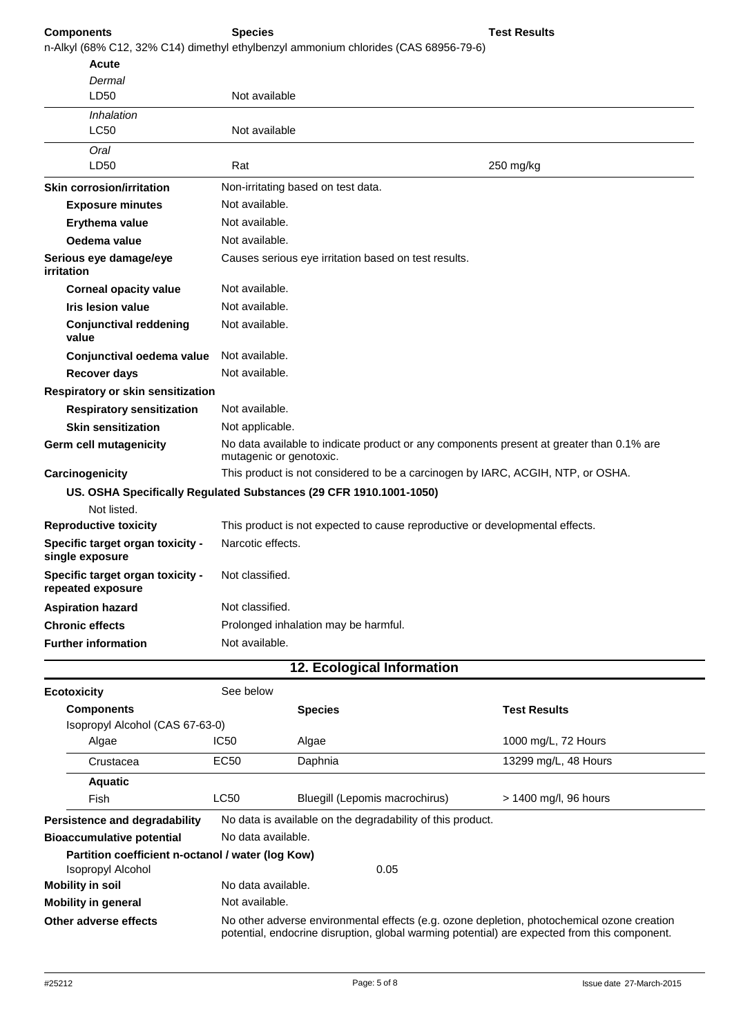## **Components Species**

n-Alkyl (68% C12, 32% C14) dimethyl ethylbenzyl ammonium chlorides (CAS 68956-79-6)

| Not available                                                                                                       |  |
|---------------------------------------------------------------------------------------------------------------------|--|
|                                                                                                                     |  |
| Not available                                                                                                       |  |
|                                                                                                                     |  |
| Rat<br>250 mg/kg                                                                                                    |  |
| Non-irritating based on test data.                                                                                  |  |
| Not available.                                                                                                      |  |
| Not available.                                                                                                      |  |
| Not available.                                                                                                      |  |
| Causes serious eye irritation based on test results.                                                                |  |
| Not available.                                                                                                      |  |
| Not available.                                                                                                      |  |
| Not available.                                                                                                      |  |
| Not available.<br>Conjunctival oedema value                                                                         |  |
| Not available.                                                                                                      |  |
| Respiratory or skin sensitization                                                                                   |  |
| Not available.                                                                                                      |  |
| Not applicable.                                                                                                     |  |
| No data available to indicate product or any components present at greater than 0.1% are<br>mutagenic or genotoxic. |  |
| This product is not considered to be a carcinogen by IARC, ACGIH, NTP, or OSHA.                                     |  |
| US. OSHA Specifically Regulated Substances (29 CFR 1910.1001-1050)                                                  |  |
|                                                                                                                     |  |
| This product is not expected to cause reproductive or developmental effects.                                        |  |
| Narcotic effects.                                                                                                   |  |
| Not classified.                                                                                                     |  |
| Not classified.                                                                                                     |  |
| Prolonged inhalation may be harmful.                                                                                |  |
| Not available.                                                                                                      |  |
|                                                                                                                     |  |

| <b>Ecotoxicity</b>                                | See below                                                  |                                |                                                                                                                                                                                            |
|---------------------------------------------------|------------------------------------------------------------|--------------------------------|--------------------------------------------------------------------------------------------------------------------------------------------------------------------------------------------|
| <b>Components</b>                                 |                                                            | <b>Species</b>                 | <b>Test Results</b>                                                                                                                                                                        |
| Isopropyl Alcohol (CAS 67-63-0)                   |                                                            |                                |                                                                                                                                                                                            |
| Algae                                             | IC50                                                       | Algae                          | 1000 mg/L, 72 Hours                                                                                                                                                                        |
| Crustacea                                         | EC50                                                       | Daphnia                        | 13299 mg/L, 48 Hours                                                                                                                                                                       |
| <b>Aquatic</b>                                    |                                                            |                                |                                                                                                                                                                                            |
| Fish                                              | LC50                                                       | Bluegill (Lepomis macrochirus) | > 1400 mg/l, 96 hours                                                                                                                                                                      |
| Persistence and degradability                     | No data is available on the degradability of this product. |                                |                                                                                                                                                                                            |
| <b>Bioaccumulative potential</b>                  | No data available.                                         |                                |                                                                                                                                                                                            |
| Partition coefficient n-octanol / water (log Kow) |                                                            |                                |                                                                                                                                                                                            |
| Isopropyl Alcohol                                 |                                                            | 0.05                           |                                                                                                                                                                                            |
| <b>Mobility in soil</b>                           | No data available.                                         |                                |                                                                                                                                                                                            |
| <b>Mobility in general</b>                        | Not available.                                             |                                |                                                                                                                                                                                            |
| Other adverse effects                             |                                                            |                                | No other adverse environmental effects (e.g. ozone depletion, photochemical ozone creation<br>potential, endocrine disruption, global warming potential) are expected from this component. |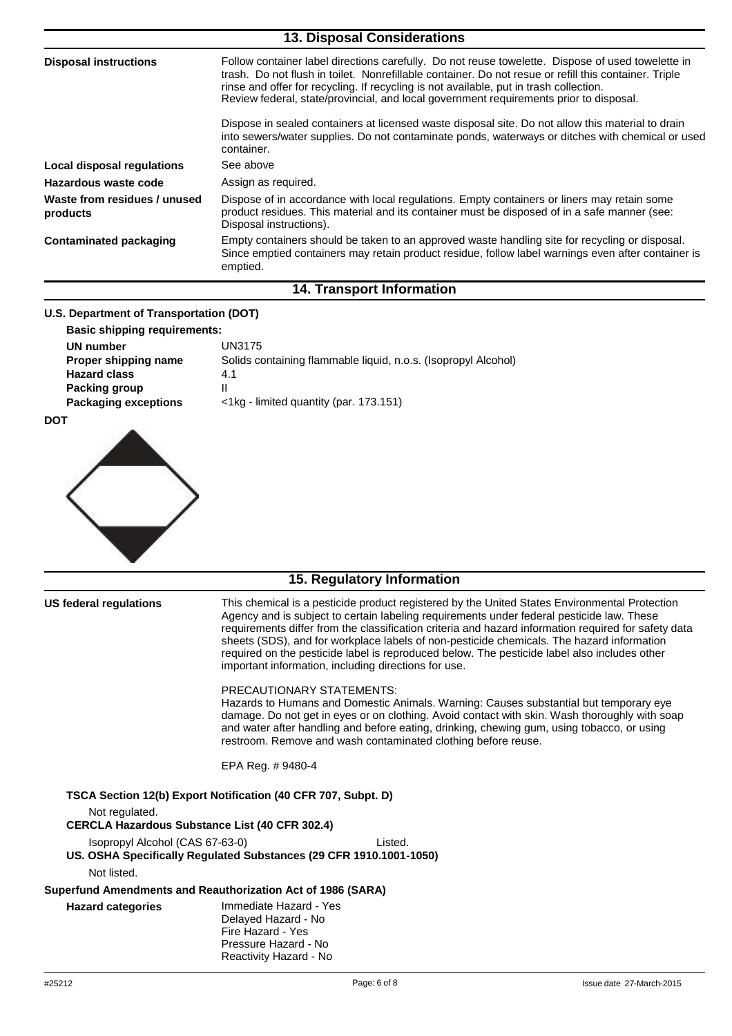| <b>13. Disposal Considerations</b>       |                                                                                                                                                                                                                                                                                                                                                                                                |  |
|------------------------------------------|------------------------------------------------------------------------------------------------------------------------------------------------------------------------------------------------------------------------------------------------------------------------------------------------------------------------------------------------------------------------------------------------|--|
| <b>Disposal instructions</b>             | Follow container label directions carefully. Do not reuse towelette. Dispose of used towelette in<br>trash. Do not flush in toilet. Nonrefillable container. Do not resue or refill this container. Triple<br>rinse and offer for recycling. If recycling is not available, put in trash collection.<br>Review federal, state/provincial, and local government requirements prior to disposal. |  |
|                                          | Dispose in sealed containers at licensed waste disposal site. Do not allow this material to drain<br>into sewers/water supplies. Do not contaminate ponds, waterways or ditches with chemical or used<br>container.                                                                                                                                                                            |  |
| Local disposal regulations               | See above                                                                                                                                                                                                                                                                                                                                                                                      |  |
| Hazardous waste code                     | Assign as required.                                                                                                                                                                                                                                                                                                                                                                            |  |
| Waste from residues / unused<br>products | Dispose of in accordance with local regulations. Empty containers or liners may retain some<br>product residues. This material and its container must be disposed of in a safe manner (see:<br>Disposal instructions).                                                                                                                                                                         |  |
| <b>Contaminated packaging</b>            | Empty containers should be taken to an approved waste handling site for recycling or disposal.<br>Since emptied containers may retain product residue, follow label warnings even after container is<br>emptied.                                                                                                                                                                               |  |
|                                          | <b>14. Transport Information</b>                                                                                                                                                                                                                                                                                                                                                               |  |
|                                          |                                                                                                                                                                                                                                                                                                                                                                                                |  |

## **U.S. Department of Transportation (DOT)**

| <b>Basic shipping requirements:</b> |                                                                |
|-------------------------------------|----------------------------------------------------------------|
| UN number                           | UN3175                                                         |
| Proper shipping name                | Solids containing flammable liquid, n.o.s. (Isopropyl Alcohol) |
| <b>Hazard class</b>                 | 4.1                                                            |
| Packing group                       |                                                                |
| <b>Packaging exceptions</b>         | $\langle$ 1kg - limited quantity (par. 173.151)                |

**DOT**



# **15. Regulatory Information**

| US federal regulations          | This chemical is a pesticide product registered by the United States Environmental Protection<br>Agency and is subject to certain labeling requirements under federal pesticide law. These<br>requirements differ from the classification criteria and hazard information required for safety data<br>sheets (SDS), and for workplace labels of non-pesticide chemicals. The hazard information<br>required on the pesticide label is reproduced below. The pesticide label also includes other<br>important information, including directions for use. |
|---------------------------------|---------------------------------------------------------------------------------------------------------------------------------------------------------------------------------------------------------------------------------------------------------------------------------------------------------------------------------------------------------------------------------------------------------------------------------------------------------------------------------------------------------------------------------------------------------|
|                                 | <b>PRECAUTIONARY STATEMENTS:</b><br>Hazards to Humans and Domestic Animals. Warning: Causes substantial but temporary eye<br>damage. Do not get in eyes or on clothing. Avoid contact with skin. Wash thoroughly with soap<br>and water after handling and before eating, drinking, chewing gum, using tobacco, or using<br>restroom. Remove and wash contaminated clothing before reuse.                                                                                                                                                               |
|                                 | EPA Reg. # 9480-4                                                                                                                                                                                                                                                                                                                                                                                                                                                                                                                                       |
|                                 | TSCA Section 12(b) Export Notification (40 CFR 707, Subpt. D)                                                                                                                                                                                                                                                                                                                                                                                                                                                                                           |
| Not regulated.                  | <b>CERCLA Hazardous Substance List (40 CFR 302.4)</b>                                                                                                                                                                                                                                                                                                                                                                                                                                                                                                   |
| Isopropyl Alcohol (CAS 67-63-0) | Listed.<br>US. OSHA Specifically Regulated Substances (29 CFR 1910.1001-1050)                                                                                                                                                                                                                                                                                                                                                                                                                                                                           |
| Not listed.                     |                                                                                                                                                                                                                                                                                                                                                                                                                                                                                                                                                         |
|                                 | Superfund Amendments and Reauthorization Act of 1986 (SARA)                                                                                                                                                                                                                                                                                                                                                                                                                                                                                             |
| <b>Hazard categories</b>        | Immediate Hazard - Yes<br>Delayed Hazard - No<br>Fire Hazard - Yes<br>Pressure Hazard - No<br>Reactivity Hazard - No                                                                                                                                                                                                                                                                                                                                                                                                                                    |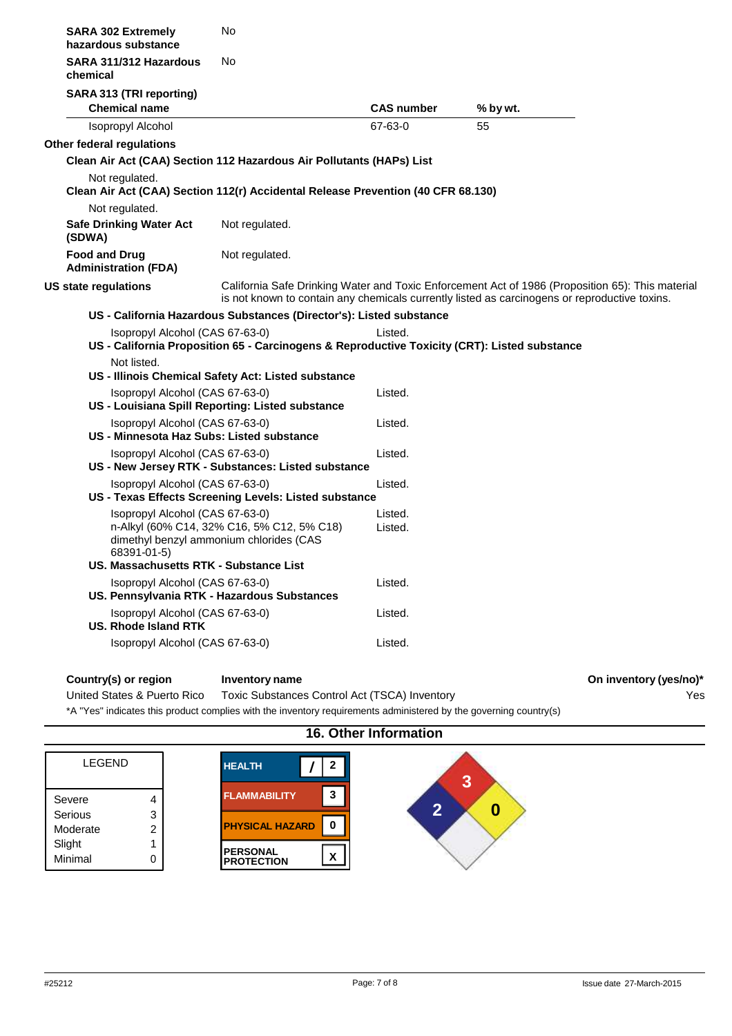| <b>SARA 302 Extremely</b><br>hazardous substance                                                   | No                                                                                    |                                                                                                         |                                                                                                                                                                                                   |  |
|----------------------------------------------------------------------------------------------------|---------------------------------------------------------------------------------------|---------------------------------------------------------------------------------------------------------|---------------------------------------------------------------------------------------------------------------------------------------------------------------------------------------------------|--|
| SARA 311/312 Hazardous<br>chemical                                                                 | No                                                                                    |                                                                                                         |                                                                                                                                                                                                   |  |
| SARA 313 (TRI reporting)<br><b>Chemical name</b>                                                   |                                                                                       | <b>CAS number</b>                                                                                       | % by wt.                                                                                                                                                                                          |  |
| <b>Isopropyl Alcohol</b>                                                                           |                                                                                       | 67-63-0                                                                                                 | 55                                                                                                                                                                                                |  |
| Other federal regulations                                                                          |                                                                                       |                                                                                                         |                                                                                                                                                                                                   |  |
| Clean Air Act (CAA) Section 112 Hazardous Air Pollutants (HAPs) List                               |                                                                                       |                                                                                                         |                                                                                                                                                                                                   |  |
| Not regulated.<br>Clean Air Act (CAA) Section 112(r) Accidental Release Prevention (40 CFR 68.130) |                                                                                       |                                                                                                         |                                                                                                                                                                                                   |  |
| Not regulated.                                                                                     |                                                                                       |                                                                                                         |                                                                                                                                                                                                   |  |
| <b>Safe Drinking Water Act</b><br>(SDWA)                                                           | Not regulated.                                                                        |                                                                                                         |                                                                                                                                                                                                   |  |
| <b>Food and Drug</b><br><b>Administration (FDA)</b>                                                | Not regulated.                                                                        |                                                                                                         |                                                                                                                                                                                                   |  |
| US state regulations                                                                               |                                                                                       |                                                                                                         | California Safe Drinking Water and Toxic Enforcement Act of 1986 (Proposition 65): This material<br>is not known to contain any chemicals currently listed as carcinogens or reproductive toxins. |  |
|                                                                                                    |                                                                                       | US - California Hazardous Substances (Director's): Listed substance                                     |                                                                                                                                                                                                   |  |
| Isopropyl Alcohol (CAS 67-63-0)                                                                    |                                                                                       | Listed.<br>US - California Proposition 65 - Carcinogens & Reproductive Toxicity (CRT): Listed substance |                                                                                                                                                                                                   |  |
| Not listed.<br>US - Illinois Chemical Safety Act: Listed substance                                 |                                                                                       |                                                                                                         |                                                                                                                                                                                                   |  |
| Isopropyl Alcohol (CAS 67-63-0)<br>US - Louisiana Spill Reporting: Listed substance                |                                                                                       | Listed.                                                                                                 |                                                                                                                                                                                                   |  |
| Isopropyl Alcohol (CAS 67-63-0)<br>US - Minnesota Haz Subs: Listed substance                       |                                                                                       | Listed.                                                                                                 |                                                                                                                                                                                                   |  |
| Isopropyl Alcohol (CAS 67-63-0)<br>US - New Jersey RTK - Substances: Listed substance              |                                                                                       | Listed.                                                                                                 |                                                                                                                                                                                                   |  |
| Isopropyl Alcohol (CAS 67-63-0)<br>US - Texas Effects Screening Levels: Listed substance           |                                                                                       | Listed.                                                                                                 |                                                                                                                                                                                                   |  |
| Isopropyl Alcohol (CAS 67-63-0)<br>68391-01-5)<br>US. Massachusetts RTK - Substance List           | n-Alkyl (60% C14, 32% C16, 5% C12, 5% C18)<br>dimethyl benzyl ammonium chlorides (CAS | Listed.<br>Listed.                                                                                      |                                                                                                                                                                                                   |  |
| Isopropyl Alcohol (CAS 67-63-0)<br>US. Pennsylvania RTK - Hazardous Substances                     |                                                                                       | Listed.                                                                                                 |                                                                                                                                                                                                   |  |
| Isopropyl Alcohol (CAS 67-63-0)<br><b>US. Rhode Island RTK</b>                                     |                                                                                       | Listed.                                                                                                 |                                                                                                                                                                                                   |  |
| Isopropyl Alcohol (CAS 67-63-0)                                                                    |                                                                                       | Listed.                                                                                                 |                                                                                                                                                                                                   |  |
|                                                                                                    |                                                                                       |                                                                                                         |                                                                                                                                                                                                   |  |

**Country(s) or region Inventory name On inventory (yes/no)\***

Yes

United States & Puerto Rico Toxic Substances Control Act (TSCA) Inventory

\*A "Yes" indicates this product complies with the inventory requirements administered by the governing country(s)